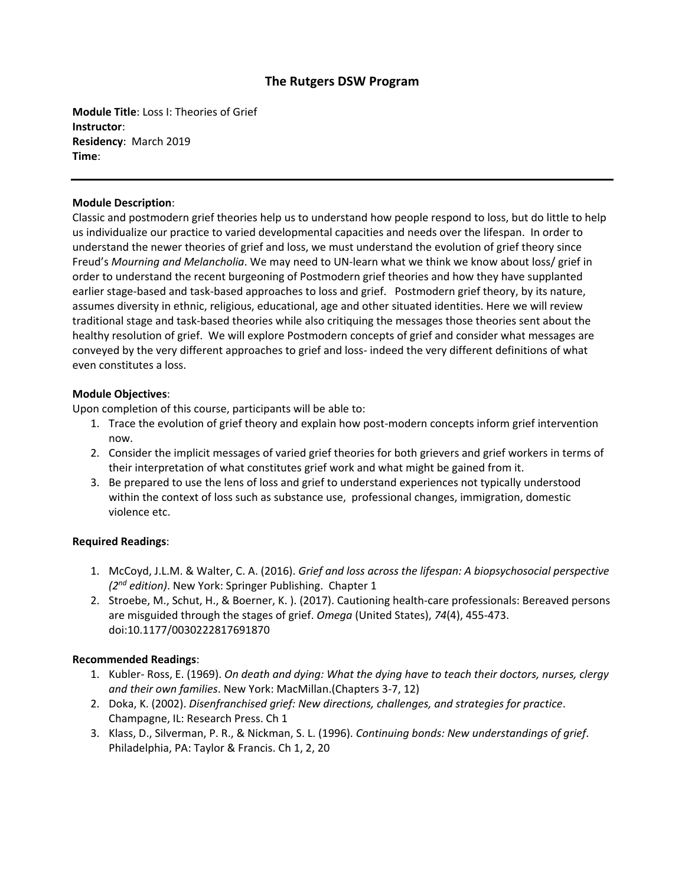# **The Rutgers DSW Program**

**Module Title**: Loss I: Theories of Grief **Instructor**: **Residency**: March 2019 **Time**:

## **Module Description**:

Classic and postmodern grief theories help us to understand how people respond to loss, but do little to help us individualize our practice to varied developmental capacities and needs over the lifespan. In order to understand the newer theories of grief and loss, we must understand the evolution of grief theory since Freud's *Mourning and Melancholia*. We may need to UN-learn what we think we know about loss/ grief in order to understand the recent burgeoning of Postmodern grief theories and how they have supplanted earlier stage-based and task-based approaches to loss and grief. Postmodern grief theory, by its nature, assumes diversity in ethnic, religious, educational, age and other situated identities. Here we will review traditional stage and task-based theories while also critiquing the messages those theories sent about the healthy resolution of grief. We will explore Postmodern concepts of grief and consider what messages are conveyed by the very different approaches to grief and loss- indeed the very different definitions of what even constitutes a loss.

## **Module Objectives**:

Upon completion of this course, participants will be able to:

- 1. Trace the evolution of grief theory and explain how post-modern concepts inform grief intervention now.
- 2. Consider the implicit messages of varied grief theories for both grievers and grief workers in terms of their interpretation of what constitutes grief work and what might be gained from it.
- 3. Be prepared to use the lens of loss and grief to understand experiences not typically understood within the context of loss such as substance use, professional changes, immigration, domestic violence etc.

### **Required Readings**:

- 1. McCoyd, J.L.M. & Walter, C. A. (2016). *Grief and loss across the lifespan: A biopsychosocial perspective (2 nd edition)*. New York: Springer Publishing. Chapter 1
- 2. Stroebe, M., Schut, H., & Boerner, K. ). (2017). Cautioning health-care professionals: Bereaved persons are misguided through the stages of grief. *Omega* (United States), *74*(4), 455-473. doi:10.1177/0030222817691870

### **Recommended Readings**:

- 1. Kubler- Ross, E. (1969). *On death and dying: What the dying have to teach their doctors, nurses, clergy and their own families*. New York: MacMillan.(Chapters 3-7, 12)
- 2. Doka, K. (2002). *Disenfranchised grief: New directions, challenges, and strategies for practice*. Champagne, IL: Research Press. Ch 1
- 3. Klass, D., Silverman, P. R., & Nickman, S. L. (1996). *Continuing bonds: New understandings of grief*. Philadelphia, PA: Taylor & Francis. Ch 1, 2, 20